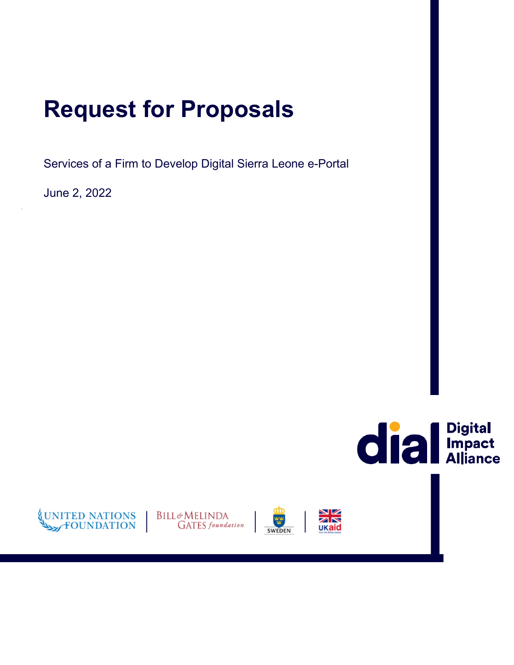# **Request for Proposals**

Services of a Firm to Develop Digital Sierra Leone e-Portal

June 2, 2022







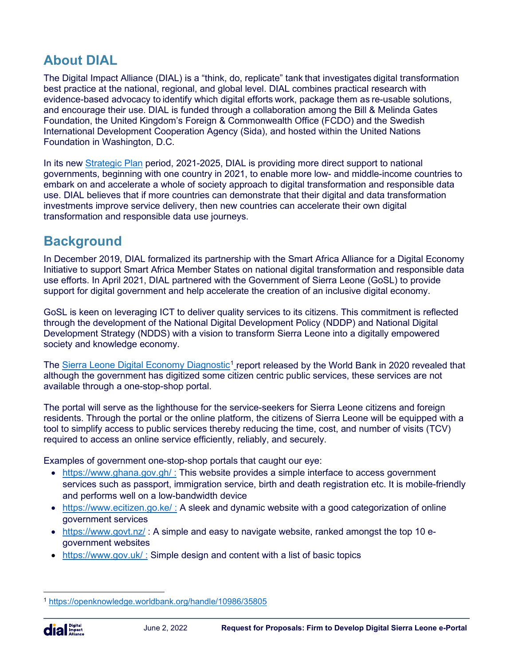# **About DIAL**

The Digital Impact Alliance (DIAL) is a "think, do, replicate" tank that investigates digital transformation best practice at the national, regional, and global level. DIAL combines practical research with evidence-based advocacy to identify which digital efforts work, package them as re-usable solutions, and encourage their use. DIAL is funded through a collaboration among the Bill & Melinda Gates Foundation, the United Kingdom's Foreign & Commonwealth Office (FCDO) and the Swedish International Development Cooperation Agency (Sida), and hosted within the United Nations Foundation in Washington, D.C.

In its new [Strategic Plan](https://digitalimpactalliance.org/wp-content/uploads/2020/07/DIAL-2.0-Strategic-Plan_external_final.pdf) period, 2021-2025, DIAL is providing more direct support to national governments, beginning with one country in 2021, to enable more low- and middle-income countries to embark on and accelerate a whole of society approach to digital transformation and responsible data use. DIAL believes that if more countries can demonstrate that their digital and data transformation investments improve service delivery, then new countries can accelerate their own digital transformation and responsible data use journeys.

### **Background**

In December 2019, DIAL formalized its partnership with the Smart Africa Alliance for a Digital Economy Initiative to support Smart Africa Member States on national digital transformation and responsible data use efforts. In April 2021, DIAL partnered with the Government of Sierra Leone (GoSL) to provide support for digital government and help accelerate the creation of an inclusive digital economy.

GoSL is keen on leveraging ICT to deliver quality services to its citizens. This commitment is reflected through the development of the National Digital Development Policy (NDDP) and National Digital Development Strategy (NDDS) with a vision to transform Sierra Leone into a digitally empowered society and knowledge economy.

The [Sierra Leone Digital Economy Diagnostic](https://openknowledge.worldbank.org/handle/10986/35805)<sup>[1](#page-1-0)</sup> report released by the World Bank in 2020 revealed that although the government has digitized some citizen centric public services, these services are not available through a one-stop-shop portal.

The portal will serve as the lighthouse for the service-seekers for Sierra Leone citizens and foreign residents. Through the portal or the online platform, the citizens of Sierra Leone will be equipped with a tool to simplify access to public services thereby reducing the time, cost, and number of visits (TCV) required to access an online service efficiently, reliably, and securely.

Examples of government one-stop-shop portals that caught our eye:

- https://www.ghana.gov.gh/: This website provides a simple interface to access government services such as passport, immigration service, birth and death registration etc. It is mobile-friendly and performs well on a low-bandwidth device
- https://www.ecitizen.go.ke/: A sleek and dynamic website with a good categorization of online government services
- <https://www.govt.nz/>: A simple and easy to navigate website, ranked amongst the top 10 egovernment websites
- https://www.gov.uk/: Simple design and content with a list of basic topics

<span id="page-1-0"></span><sup>1</sup> <https://openknowledge.worldbank.org/handle/10986/35805>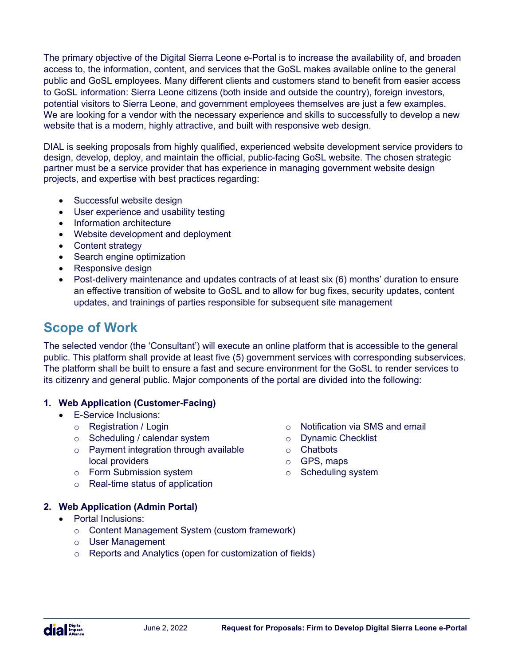The primary objective of the Digital Sierra Leone e-Portal is to increase the availability of, and broaden access to, the information, content, and services that the GoSL makes available online to the general public and GoSL employees. Many different clients and customers stand to benefit from easier access to GoSL information: Sierra Leone citizens (both inside and outside the country), foreign investors, potential visitors to Sierra Leone, and government employees themselves are just a few examples. We are looking for a vendor with the necessary experience and skills to successfully to develop a new website that is a modern, highly attractive, and built with responsive web design.

DIAL is seeking proposals from highly qualified, experienced website development service providers to design, develop, deploy, and maintain the official, public-facing GoSL website. The chosen strategic partner must be a service provider that has experience in managing government website design projects, and expertise with best practices regarding:

- Successful website design
- User experience and usability testing
- Information architecture
- Website development and deployment
- Content strategy
- Search engine optimization
- Responsive design
- Post-delivery maintenance and updates contracts of at least six (6) months' duration to ensure an effective transition of website to GoSL and to allow for bug fixes, security updates, content updates, and trainings of parties responsible for subsequent site management

### **Scope of Work**

The selected vendor (the 'Consultant') will execute an online platform that is accessible to the general public. This platform shall provide at least five (5) government services with corresponding subservices. The platform shall be built to ensure a fast and secure environment for the GoSL to render services to its citizenry and general public. Major components of the portal are divided into the following:

#### **1. Web Application (Customer-Facing)**

- E-Service Inclusions:
	- o Registration / Login
	- o Scheduling / calendar system
	- o Payment integration through available local providers
	- o Form Submission system
	- o Real-time status of application

#### **2. Web Application (Admin Portal)**

- Portal Inclusions:
	- o Content Management System (custom framework)
	- o User Management
	- o Reports and Analytics (open for customization of fields)
- o Notification via SMS and email
- o Dynamic Checklist
- o Chatbots
- o GPS, maps
- o Scheduling system

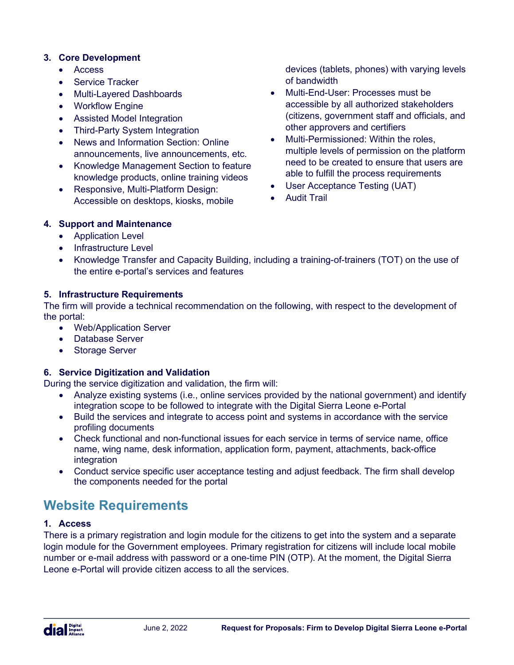#### **3. Core Development**

- Access
- Service Tracker
- Multi-Layered Dashboards
- Workflow Engine
- Assisted Model Integration
- **Third-Party System Integration**
- News and Information Section: Online announcements, live announcements, etc.
- Knowledge Management Section to feature knowledge products, online training videos
- Responsive, Multi-Platform Design: Accessible on desktops, kiosks, mobile

devices (tablets, phones) with varying levels of bandwidth

- Multi-End-User: Processes must be accessible by all authorized stakeholders (citizens, government staff and officials, and other approvers and certifiers
- Multi-Permissioned: Within the roles, multiple levels of permission on the platform need to be created to ensure that users are able to fulfill the process requirements
- User Acceptance Testing (UAT)
- Audit Trail

#### **4. Support and Maintenance**

- Application Level
- Infrastructure Level
- Knowledge Transfer and Capacity Building, including a training-of-trainers (TOT) on the use of the entire e-portal's services and features

#### **5. Infrastructure Requirements**

The firm will provide a technical recommendation on the following, with respect to the development of the portal:

- Web/Application Server
- Database Server
- Storage Server

#### **6. Service Digitization and Validation**

During the service digitization and validation, the firm will:

- Analyze existing systems (i.e., online services provided by the national government) and identify integration scope to be followed to integrate with the Digital Sierra Leone e-Portal
- Build the services and integrate to access point and systems in accordance with the service profiling documents
- Check functional and non-functional issues for each service in terms of service name, office name, wing name, desk information, application form, payment, attachments, back-office integration
- Conduct service specific user acceptance testing and adjust feedback. The firm shall develop the components needed for the portal

# **Website Requirements**

#### **1. Access**

There is a primary registration and login module for the citizens to get into the system and a separate login module for the Government employees. Primary registration for citizens will include local mobile number or e-mail address with password or a one-time PIN (OTP). At the moment, the Digital Sierra Leone e-Portal will provide citizen access to all the services.

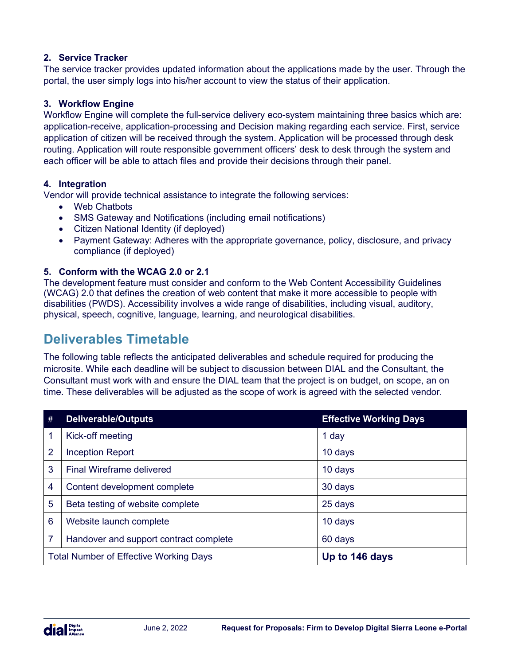#### **2. Service Tracker**

The service tracker provides updated information about the applications made by the user. Through the portal, the user simply logs into his/her account to view the status of their application.

#### **3. Workflow Engine**

Workflow Engine will complete the full-service delivery eco-system maintaining three basics which are: application-receive, application-processing and Decision making regarding each service. First, service application of citizen will be received through the system. Application will be processed through desk routing. Application will route responsible government officers' desk to desk through the system and each officer will be able to attach files and provide their decisions through their panel.

#### **4. Integration**

Vendor will provide technical assistance to integrate the following services:

- Web Chatbots
- SMS Gateway and Notifications (including email notifications)
- Citizen National Identity (if deployed)
- Payment Gateway: Adheres with the appropriate governance, policy, disclosure, and privacy compliance (if deployed)

#### **5. Conform with the WCAG 2.0 or 2.1**

The development feature must consider and conform to the Web Content Accessibility Guidelines (WCAG) 2.0 that defines the creation of web content that make it more accessible to people with disabilities (PWDS). Accessibility involves a wide range of disabilities, including visual, auditory, physical, speech, cognitive, language, learning, and neurological disabilities.

### **Deliverables Timetable**

The following table reflects the anticipated deliverables and schedule required for producing the microsite. While each deadline will be subject to discussion between DIAL and the Consultant, the Consultant must work with and ensure the DIAL team that the project is on budget, on scope, an on time. These deliverables will be adjusted as the scope of work is agreed with the selected vendor.

| #                                             | <b>Deliverable/Outputs</b>             | <b>Effective Working Days</b> |
|-----------------------------------------------|----------------------------------------|-------------------------------|
| 1                                             | Kick-off meeting                       | 1 day                         |
| 2                                             | <b>Inception Report</b>                | 10 days                       |
| 3                                             | <b>Final Wireframe delivered</b>       | 10 days                       |
| 4                                             | Content development complete           | 30 days                       |
| 5                                             | Beta testing of website complete       | 25 days                       |
| 6                                             | Website launch complete                | 10 days                       |
| 7                                             | Handover and support contract complete | 60 days                       |
| <b>Total Number of Effective Working Days</b> |                                        | Up to 146 days                |

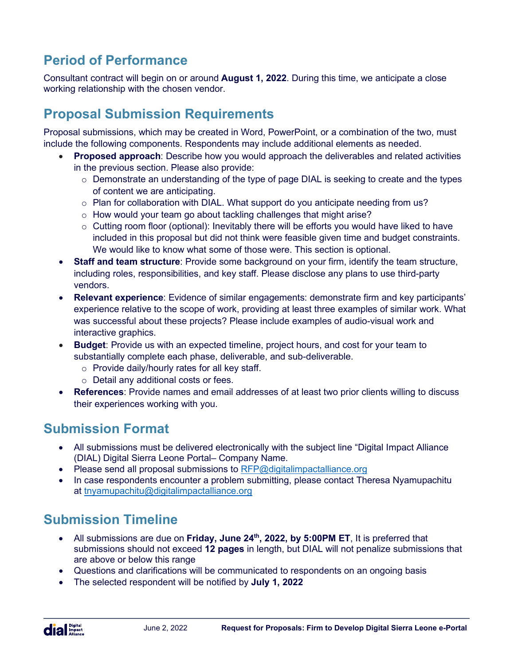# **Period of Performance**

Consultant contract will begin on or around **August 1, 2022**. During this time, we anticipate a close working relationship with the chosen vendor.

### **Proposal Submission Requirements**

Proposal submissions, which may be created in Word, PowerPoint, or a combination of the two, must include the following components. Respondents may include additional elements as needed.

- **Proposed approach**: Describe how you would approach the deliverables and related activities in the previous section. Please also provide:
	- $\circ$  Demonstrate an understanding of the type of page DIAL is seeking to create and the types of content we are anticipating.
	- $\circ$  Plan for collaboration with DIAL. What support do you anticipate needing from us?
	- o How would your team go about tackling challenges that might arise?
	- $\circ$  Cutting room floor (optional): Inevitably there will be efforts you would have liked to have included in this proposal but did not think were feasible given time and budget constraints. We would like to know what some of those were. This section is optional.
- **Staff and team structure**: Provide some background on your firm, identify the team structure, including roles, responsibilities, and key staff. Please disclose any plans to use third-party vendors.
- **Relevant experience**: Evidence of similar engagements: demonstrate firm and key participants' experience relative to the scope of work, providing at least three examples of similar work. What was successful about these projects? Please include examples of audio-visual work and interactive graphics.
- **Budget**: Provide us with an expected timeline, project hours, and cost for your team to substantially complete each phase, deliverable, and sub-deliverable.
	- o Provide daily/hourly rates for all key staff.
	- o Detail any additional costs or fees.
- **References**: Provide names and email addresses of at least two prior clients willing to discuss their experiences working with you.

### **Submission Format**

- All submissions must be delivered electronically with the subject line "Digital Impact Alliance (DIAL) Digital Sierra Leone Portal– Company Name.
- Please send all proposal submissions to  $RFP@$  digital impactal liance org
- In case respondents encounter a problem submitting, please contact Theresa Nyamupachitu at [tnyamupachitu@digitalimpactalliance.org](mailto:tnyamupachitu@digitalimpactalliance.org)

# **Submission Timeline**

- All submissions are due on **Friday, June 24th, 2022, by 5:00PM ET**, It is preferred that submissions should not exceed **12 pages** in length, but DIAL will not penalize submissions that are above or below this range
- Questions and clarifications will be communicated to respondents on an ongoing basis
- The selected respondent will be notified by **July 1, 2022**

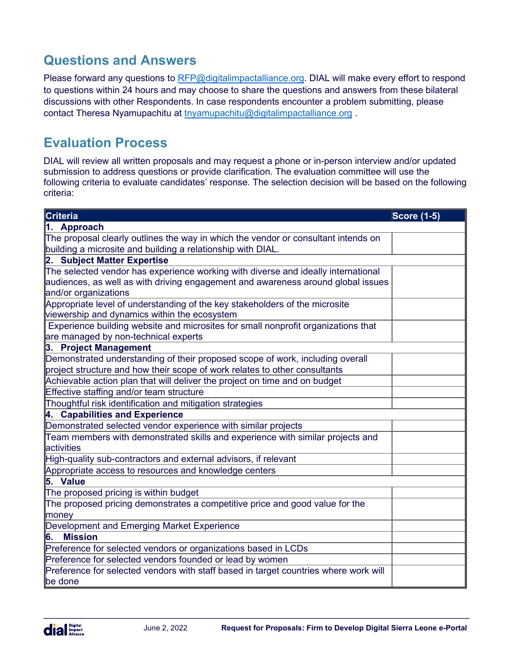# **Questions and Answers**

Please forward any questions to [RFP@digitalimpactalliance.org.](mailto:RFP@digitalimpactalliance.org) DIAL will make every effort to respond to questions within 24 hours and may choose to share the questions and answers from these bilateral discussions with other Respondents. In case respondents encounter a problem submitting, please contact Theresa Nyamupachitu at [tnyamupachitu@digitalimpactalliance.org](mailto:tnyamupachitu@digitalimpactalliance.org) .

### **Evaluation Process**

DIAL will review all written proposals and may request a phone or in-person interview and/or updated submission to address questions or provide clarification. The evaluation committee will use the following criteria to evaluate candidates' response. The selection decision will be based on the following criteria:

| Criteria                                                                             | <b>Score (1-5)</b> |  |  |
|--------------------------------------------------------------------------------------|--------------------|--|--|
| 1. Approach                                                                          |                    |  |  |
| The proposal clearly outlines the way in which the vendor or consultant intends on   |                    |  |  |
| building a microsite and building a relationship with DIAL.                          |                    |  |  |
| 2. Subject Matter Expertise                                                          |                    |  |  |
| The selected vendor has experience working with diverse and ideally international    |                    |  |  |
| audiences, as well as with driving engagement and awareness around global issues     |                    |  |  |
| and/or organizations                                                                 |                    |  |  |
| Appropriate level of understanding of the key stakeholders of the microsite          |                    |  |  |
| viewership and dynamics within the ecosystem                                         |                    |  |  |
| Experience building website and microsites for small nonprofit organizations that    |                    |  |  |
| are managed by non-technical experts                                                 |                    |  |  |
| 3. Project Management                                                                |                    |  |  |
| Demonstrated understanding of their proposed scope of work, including overall        |                    |  |  |
| project structure and how their scope of work relates to other consultants           |                    |  |  |
| Achievable action plan that will deliver the project on time and on budget           |                    |  |  |
| Effective staffing and/or team structure                                             |                    |  |  |
| Thoughtful risk identification and mitigation strategies                             |                    |  |  |
| 4. Capabilities and Experience                                                       |                    |  |  |
| Demonstrated selected vendor experience with similar projects                        |                    |  |  |
| Team members with demonstrated skills and experience with similar projects and       |                    |  |  |
| activities                                                                           |                    |  |  |
| High-quality sub-contractors and external advisors, if relevant                      |                    |  |  |
| Appropriate access to resources and knowledge centers                                |                    |  |  |
| 5. Value                                                                             |                    |  |  |
| The proposed pricing is within budget                                                |                    |  |  |
| The proposed pricing demonstrates a competitive price and good value for the         |                    |  |  |
| money                                                                                |                    |  |  |
| Development and Emerging Market Experience                                           |                    |  |  |
| <b>Mission</b><br>16.                                                                |                    |  |  |
| Preference for selected vendors or organizations based in LCDs                       |                    |  |  |
| Preference for selected vendors founded or lead by women                             |                    |  |  |
| Preference for selected vendors with staff based in target countries where work will |                    |  |  |
| be done                                                                              |                    |  |  |

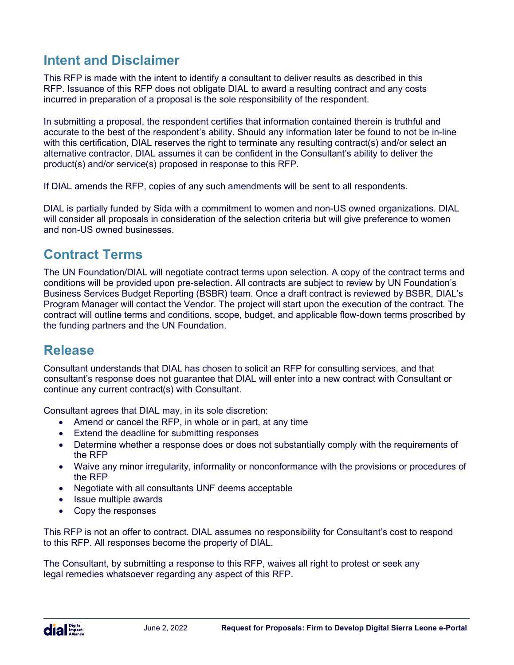# **Intent and Disclaimer**

This RFP is made with the intent to identify a consultant to deliver results as described in this RFP. Issuance of this RFP does not obligate DIAL to award a resulting contract and any costs incurred in preparation of a proposal is the sole responsibility of the respondent.

In submitting a proposal, the respondent certifies that information contained therein is truthful and accurate to the best of the respondent's ability. Should any information later be found to not be in-line with this certification, DIAL reserves the right to terminate any resulting contract(s) and/or select an alternative contractor. DIAL assumes it can be confident in the Consultant's ability to deliver the product(s) and/or service(s) proposed in response to this RFP.

If DIAL amends the RFP, copies of any such amendments will be sent to all respondents.

DIAL is partially funded by Sida with a commitment to women and non-US owned organizations. DIAL will consider all proposals in consideration of the selection criteria but will give preference to women and non-US owned businesses.

### **Contract Terms**

The UN Foundation/DIAL will negotiate contract terms upon selection. A copy of the contract terms and conditions will be provided upon pre-selection. All contracts are subject to review by UN Foundation's Business Services Budget Reporting (BSBR) team. Once a draft contract is reviewed by BSBR, DIAL's Program Manager will contact the Vendor. The project will start upon the execution of the contract. The contract will outline terms and conditions, scope, budget, and applicable flow-down terms proscribed by the funding partners and the UN Foundation.

### **Release**

Consultant understands that DIAL has chosen to solicit an RFP for consulting services, and that consultant's response does not guarantee that DIAL will enter into a new contract with Consultant or continue any current contract(s) with Consultant.

Consultant agrees that DIAL may, in its sole discretion:

- Amend or cancel the RFP, in whole or in part, at any time
- Extend the deadline for submitting responses
- Determine whether a response does or does not substantially comply with the requirements of the RFP
- Waive any minor irregularity, informality or nonconformance with the provisions or procedures of the RFP
- Negotiate with all consultants UNF deems acceptable
- Issue multiple awards
- Copy the responses

This RFP is not an offer to contract. DIAL assumes no responsibility for Consultant's cost to respond to this RFP. All responses become the property of DIAL.

The Consultant, by submitting a response to this RFP, waives all right to protest or seek any legal remedies whatsoever regarding any aspect of this RFP.